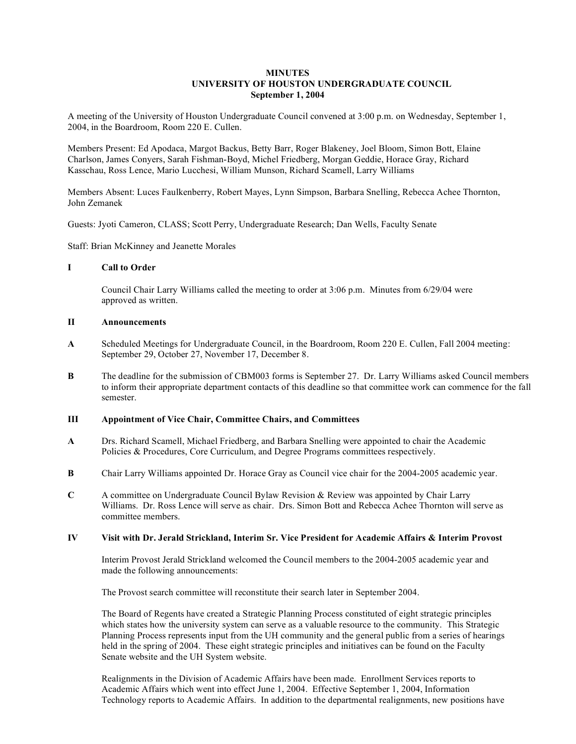### **MINUTES UNIVERSITY OF HOUSTON UNDERGRADUATE COUNCIL September 1, 2004**

A meeting of the University of Houston Undergraduate Council convened at 3:00 p.m. on Wednesday, September 1, 2004, in the Boardroom, Room 220 E. Cullen.

Members Present: Ed Apodaca, Margot Backus, Betty Barr, Roger Blakeney, Joel Bloom, Simon Bott, Elaine Charlson, James Conyers, Sarah Fishman-Boyd, Michel Friedberg, Morgan Geddie, Horace Gray, Richard Kasschau, Ross Lence, Mario Lucchesi, William Munson, Richard Scamell, Larry Williams

Members Absent: Luces Faulkenberry, Robert Mayes, Lynn Simpson, Barbara Snelling, Rebecca Achee Thornton, John Zemanek

Guests: Jyoti Cameron, CLASS; Scott Perry, Undergraduate Research; Dan Wells, Faculty Senate

Staff: Brian McKinney and Jeanette Morales

#### **I Call to Order**

Council Chair Larry Williams called the meeting to order at 3:06 p.m. Minutes from 6/29/04 were approved as written.

#### **II Announcements**

- **A** Scheduled Meetings for Undergraduate Council, in the Boardroom, Room 220 E. Cullen, Fall 2004 meeting: September 29, October 27, November 17, December 8.
- **B** The deadline for the submission of CBM003 forms is September 27. Dr. Larry Williams asked Council members to inform their appropriate department contacts of this deadline so that committee work can commence for the fall semester.

### **III Appointment of Vice Chair, Committee Chairs, and Committees**

- **A** Drs. Richard Scamell, Michael Friedberg, and Barbara Snelling were appointed to chair the Academic Policies & Procedures, Core Curriculum, and Degree Programs committees respectively.
- **B** Chair Larry Williams appointed Dr. Horace Gray as Council vice chair for the 2004-2005 academic year.
- **C** A committee on Undergraduate Council Bylaw Revision & Review was appointed by Chair Larry Williams. Dr. Ross Lence will serve as chair. Drs. Simon Bott and Rebecca Achee Thornton will serve as committee members.

#### **IV Visit with Dr. Jerald Strickland, Interim Sr. Vice President for Academic Affairs & Interim Provost**

Interim Provost Jerald Strickland welcomed the Council members to the 2004-2005 academic year and made the following announcements:

The Provost search committee will reconstitute their search later in September 2004.

The Board of Regents have created a Strategic Planning Process constituted of eight strategic principles which states how the university system can serve as a valuable resource to the community. This Strategic Planning Process represents input from the UH community and the general public from a series of hearings held in the spring of 2004. These eight strategic principles and initiatives can be found on the Faculty Senate website and the UH System website.

Realignments in the Division of Academic Affairs have been made. Enrollment Services reports to Academic Affairs which went into effect June 1, 2004. Effective September 1, 2004, Information Technology reports to Academic Affairs. In addition to the departmental realignments, new positions have